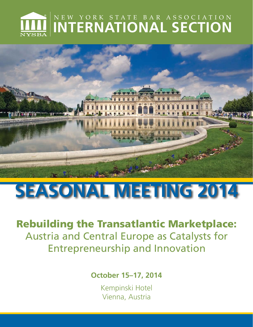# NEW YORK STATE BAR ASSOCIATION **INTERNATIONAL SECTION**



# **SEASONAL MEETING 2014**

Rebuilding the Transatlantic Marketplace: Austria and Central Europe as Catalysts for Entrepreneurship and Innovation

**October 15–17, 2014** 

Kempinski Hotel Vienna, Austria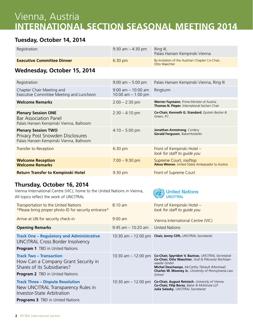# Vienna, Austria **INTERNATIONAL SECTION SEASONAL MEETING 2014**

# **Tuesday, October 14, 2014**

| Registration                                                                                               | 9:30 am $-$ 4:30 pm                           | Ring III,<br>Palais Hansen Kempinski Vienna                                                |
|------------------------------------------------------------------------------------------------------------|-----------------------------------------------|--------------------------------------------------------------------------------------------|
| <b>Executive Committee Dinner</b>                                                                          | 6:30 pm                                       | By Invitation of the Austrian Chapter Co-Chair,<br>Otto Waechter                           |
| Wednesday, October 15, 2014                                                                                |                                               |                                                                                            |
| Registration                                                                                               | $9:00$ am $-5:00$ pm                          | Palais Hansen Kempinski Vienna, Ring III                                                   |
| Chapter Chair Meeting and<br>Executive Committee Meeting and Luncheon                                      | $9:00$ am $-10:00$ am<br>10:00 am $-$ 1:00 pm | Ringturm                                                                                   |
| <b>Welcome Remarks</b>                                                                                     | $2:00 - 2:30$ pm                              | Werner Faymann, Prime Minister of Austria<br>Thomas N. Pieper, International Section Chair |
| <b>Plenary Session ONE</b><br><b>Bar Association Panel</b><br>Palais Hansen Kempinski Vienna, Ballroom     | $2:30 - 4:10$ pm                              | Co-Chair, Kenneth G. Standard, Epstein Becker &<br>Green, P.C.                             |
| <b>Plenary Session TWO</b><br>Privacy Post Snowden Disclosures<br>Palais Hansen Kempinski Vienna, Ballroom | $4:10 - 5:00$ pm                              | Jonathan Armstrong, Cordery<br>Gerald Ferguson, BakerHostetler                             |
| Transfer to Reception                                                                                      | 6:30 pm                                       | Front of Kempinski Hotel -<br>look for staff to quide you                                  |
| <b>Welcome Reception</b><br><b>Welcome Remarks</b>                                                         | $7:00 - 9:30$ pm                              | Supreme Court, rooftop<br>Alexa Wesner, United States Ambassador to Austria                |
| <b>Return Transfer to Kempinski Hotel</b>                                                                  | 9:30 pm                                       | Front of Supreme Court                                                                     |

## **Thursday, October 16, 2014**

Vienna International Centre (VIC), home to the United Nations in Vienna, All topics reflect the work of UNCITRAL

| United Nations |  |
|----------------|--|
|                |  |

| Transportation to the United Nations<br>*Please bring proper photo ID for security entrance*                                                                  | $8:10 \text{ am}$     | Front of Kempinski Hotel -<br>look for staff to quide you                                                                                                                                                                                              |
|---------------------------------------------------------------------------------------------------------------------------------------------------------------|-----------------------|--------------------------------------------------------------------------------------------------------------------------------------------------------------------------------------------------------------------------------------------------------|
| Arrive at UN for security check-in                                                                                                                            | $9:00$ am             | Vienna International Centre (VIC)                                                                                                                                                                                                                      |
| <b>Opening Remarks</b>                                                                                                                                        | $9:45$ am $-10:20$ am | <b>United Nations</b>                                                                                                                                                                                                                                  |
| <b>Track One - Regulatory and Administrative</b><br><b>UNCITRAL Cross Border Insolvency</b><br><b>Program 1</b> TBD in United Nations                         | 10:30 am $-$ 12:00 pm | Chair, Jenny Clift, UNCITRAL Secretariat                                                                                                                                                                                                               |
| <b>Track Two - Transaction</b><br>How Can a Company Grant Security in<br>Shares of its Subsidiaries?<br><b>Program 2</b> TBD in United Nations                | 10:30 am $-$ 12:00 pm | Co-Chair, Spyridon V. Bazinas, UNCITRAL Secretariat<br>Co-Chair, Otto Waechter, Graf & Pitkowitz Rechtsan-<br>waelte GmbH<br><b>Michel Deschamps</b> , McCarthy Tétrault (Montreal)<br>Charles W. Mooney Jr., University of Pennsylvania Law<br>School |
| <b>Track Three - Dispute Resolution</b><br>New UNCITRAL Transparency Rules in<br><b>Investor-State Arbitration</b><br><b>Programs 3</b> TBD in United Nations | 10:30 am $-$ 12:00 pm | Co-Chair, August Reinisch, University of Vienna<br>Co-Chair, Filip Boras, Baker & McKenzie LLP<br>Julia Salasky, UNCITRAL Secretariat                                                                                                                  |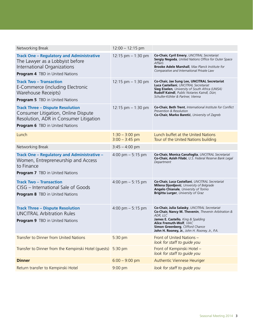| Networking Break                                                                                                                                                   | $12:00 - 12:15$ pm                   |                                                                                                                                                                                                                                                                          |
|--------------------------------------------------------------------------------------------------------------------------------------------------------------------|--------------------------------------|--------------------------------------------------------------------------------------------------------------------------------------------------------------------------------------------------------------------------------------------------------------------------|
| <b>Track One - Regulatory and Administrative</b><br>The Lawyer as a Lobbyist before<br>International Organizations<br><b>Program 4</b> TBD in United Nations       | 12:15 pm - 1:30 pm                   | Co-Chair, Cyril Emery, UNCITRAL Secretariat<br>Sergiy Negoda, United Nations Office for Outer Space<br>Affairs<br><b>Brooke Adele Marshall</b> , Max Planck Institute for<br>Comparative and International Private Law                                                   |
| <b>Track Two - Transaction</b><br>E-Commerce (including Electronic<br>Warehouse Receipts)<br><b>Program 5</b> TBD in United Nations                                | 12:15 pm $-$ 1:30 pm                 | Co-Chair, Jae Sung Lee, UNCITRAL Secretariat<br>Luca Castellani, UNCITRAL Secretariat<br><b>Sieg Eiselen</b> , University of South Africa (UNISA)<br>Rudolf Kaindl, Public Notaries Kaindl, Dürr,<br>Schuller-Köhler & Partner, Vienna                                   |
| <b>Track Three - Dispute Resolution</b><br>Consumer Litigation, Online Dispute<br>Resolution, ADR in Consumer Litigation<br><b>Program 6</b> TBD in United Nations | 12:15 pm $-$ 1:30 pm                 | Co-Chair, Beth Trent, International Institute for Conflict<br>Prevention & Resolution<br>Co-Chair, Marko Baretić, University of Zagreb                                                                                                                                   |
| Lunch                                                                                                                                                              | $1:30 - 3:00$ pm<br>$3:00 - 3:45$ pm | Lunch buffet at the United Nations<br>Tour of the United Nations building                                                                                                                                                                                                |
| Networking Break                                                                                                                                                   | $3:45 - 4:00$ pm                     |                                                                                                                                                                                                                                                                          |
| Track One - Regulatory and Administrative -<br>Women, Entrepreneurship and Access<br>to Finance<br><b>Program 7</b> TBD in United Nations                          | 4:00 pm $-$ 5:15 pm                  | Co-Chair, Monica Canafoglia, UNCITRAL Secretariat<br>Co-Chair, Azish Filabi, U.S. Federal Reserve Bank Legal<br>Department                                                                                                                                               |
| <b>Track Two - Transaction</b><br>CISG – International Sale of Goods<br><b>Program 8</b> TBD in United Nations                                                     | 4:00 pm $-5:15$ pm                   | Co-Chair, Luca Castellani, UNCITRAL Secretariat<br>Milena Djordjević, University of Belgrade<br>Angelo Chianale, University of Torino<br><b>Brigitta Lurger</b> , University of Graz                                                                                     |
| <b>Track Three - Dispute Resolution</b><br><b>UNCITRAL Arbitration Rules</b><br><b>Program 9</b> TBD in United Nations                                             | 4:00 pm $-$ 5:15 pm                  | Co-Chair, Julia Salasky, UNCITRAL Secretariat<br>Co-Chair, Nancy M. Thevenin, Thevenin Arbitration &<br>ADR, LLC<br>James E. Castello, King & Spalding<br>Alice Fremuth-Wolf, VIAC<br>Simon Greenberg, Clifford Chance<br>John H. Rooney, Jr., John H. Rooney, Jr., P.A. |
| <b>Transfer to Dinner from United Nations</b>                                                                                                                      | 5:30 pm                              | Front of United Nations -<br>look for staff to quide you                                                                                                                                                                                                                 |
| Transfer to Dinner from the Kempinski Hotel (guests)                                                                                                               | 5:30 pm                              | Front of Kempinski Hotel -<br>look for staff to guide you                                                                                                                                                                                                                |
| <b>Dinner</b>                                                                                                                                                      | $6:00 - 9:00$ pm                     | Authentic Viennese Heuriger                                                                                                                                                                                                                                              |
| Return transfer to Kempinski Hotel                                                                                                                                 | 9:00 pm                              | look for staff to guide you                                                                                                                                                                                                                                              |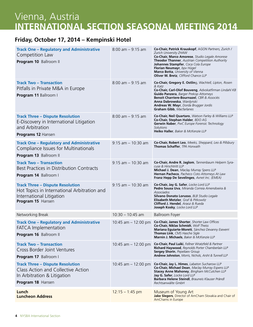# Vienna, Austria **INTERNATIONAL SECTION SEASONAL MEETING 2014**

## **Friday, October 17, 2014 – Kempinski Hotel**

| <b>Track One - Regulatory and Administrative</b><br>Competition Law<br>Program 10 Ballroom II                                            | $8:00$ am $-9:15$ am  | Co-Chair, Patrick Krauskopf, AGON Partners, Zurich /<br>Zurich University ZHAW<br>Co-Chair, Marco Amorese, Studio Legale Amorese<br>Theodor Thanner, Austrian Competition Authority<br>Johannes Stampfer, Coca Cola Europe<br>Florian Neumayr, bpv Hügel<br>Marco Botta, University of Vienna<br>Oliver W. Bretz, Clifford Chance LLP |
|------------------------------------------------------------------------------------------------------------------------------------------|-----------------------|---------------------------------------------------------------------------------------------------------------------------------------------------------------------------------------------------------------------------------------------------------------------------------------------------------------------------------------|
| <b>Track Two - Transaction</b><br>Pitfalls in Private M&A in Europe<br>Program 11 Ballroom I                                             | $8:00$ am $-9:15$ am  | Co-Chair, Gregory E. Ostling, Wachtell, Lipton, Rosen<br>& Katz<br>Co-Chair, Carl-Olof Bouveng, Advokatfirman Lindahl KB<br>Guido Panzera, Barger Prekop Attorneys<br>Benoit Charriere-Bournazel, CBR & Associés<br>Anna Dabrowska, Wardynski<br>Andreas W. Mayr, Dorda Brugger Jordis<br>Graham Gibb, Macfarlanes                    |
| <b>Track Three - Dispute Resolution</b><br>E-Discovery in International Litigation<br>and Arbitration<br>Programs 12 Hansen              | $8:00$ am $-9:15$ am  | Co-Chair, Neil Quartaro, Watson Farley & Williams LLP<br>Co-Chair, Stephan Halder, BDO AG<br>Gerwin Naber, PwC Europe Forensic Technology<br>Solutions<br>Heiko Haller, Baker & McKenzie LLP                                                                                                                                          |
| <b>Track One - Regulatory and Administrative</b><br>Compliance Issues for Multinationals<br>Program 13 Ballroom II                       | $9:15$ am $-10:30$ am | Co-Chair, Robert Leo, Meeks, Sheppard, Leo & Pillsbury<br>Thomas Schaffer, TPA Horwath                                                                                                                                                                                                                                                |
| <b>Track Two - Transaction</b><br>Best Practices in Distribution Contracts<br>Program 14 Ballroom I                                      | $9:15$ am $-10:30$ am | Co-Chair, Andre R. Jaglom, Tannenbaum Helpern Syra-<br>cuse & Hirschtritt LLP<br>Michael J. Dean, Maclay Murray Spens LLP<br>Hernan Pacheco, Pacheco Coto Attorneys At Law<br>Franz Hepp De Sevelinges, Avnet Inc. (EMEA)                                                                                                             |
| <b>Track Three - Dispute Resolution</b><br>Hot Topics in International Arbitration and<br>International Litigation<br>Program 15 Hansen  | $9:15$ am $-10:30$ am | Co-Chair, Jay G. Safer, Locke Lord LLP<br>Pedro Sousa Uva, Miranda Correia Amendoeira &<br>Associados<br>Silvano Donato Lorusso, BLB Studio Legale<br><b>Elisabeth Metzler</b> , Graf & Pitkowitz<br>Clifford J. Hendel, Araoz & Rueda<br>Joseph Kosky, Locke Lord LLP                                                                |
| Networking Break                                                                                                                         | $10:30 - 10:45$ am    | <b>Ballroom Foyer</b>                                                                                                                                                                                                                                                                                                                 |
| <b>Track One - Regulatory and Administrative</b><br><b>FATCA Implementation</b><br>Program 16 Ballroom II                                | 10:45 am $-$ 12:00 pm | Co-Chair, James Shorter, Shorter Law Offices<br><b>Co-Chair, Niklas Schmidt</b> , Wolf Theiss<br>Mariana Eguiarte-Morett, Sánchez Devanny Eseverri<br>Thomas Link, CMS Hasche Sigle<br>Marnin J. Michaels, Baker & McKenzie LLP                                                                                                       |
| <b>Track Two - Transaction</b><br>Cross Border Joint Ventures<br>Program 17 Ballroom I                                                   | 10:45 am $-$ 12:00 pm | Co-Chair, Paul Luiki, Fellner Wratzfeld & Partner<br>Richard Haywood, Reynolds Porter Chamberlain LLP<br>Sergey Shorin, Pepeliaev Group<br>Andrew Johnston, Morris, Nichols, Arsht & Tunnell LLP                                                                                                                                      |
| <b>Track Three - Dispute Resolution</b><br><b>Class Action and Collective Action</b><br>In Arbitration & Litigation<br>Program 18 Hansen | 10:45 am $-$ 12:00 pm | Co-Chair, Jay L. Himes, Labaton Sucharow LLP<br>Co-Chair, Michael Dean, Maclay Murray Espens LLP<br><b>Stacey Anne Mahoney, Bingham McCutchen LLP</b><br>Jay G. Safer, Locke Lord LLP<br>Barbara Helene Steindl, Brauneis Klauser Prändl<br>Rechtsanwälte GmbH                                                                        |
| Lunch<br><b>Luncheon Address</b>                                                                                                         | $12:15 - 1:45$ pm     | Museum of Young Art<br>Jake Slegers, Director of AmCham Slovakia and Chair of<br>AmChams in Europe                                                                                                                                                                                                                                    |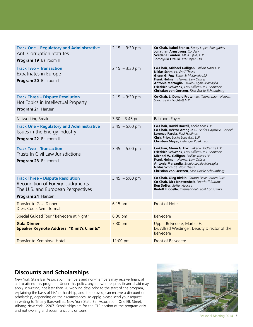| <b>Track One - Regulatory and Administrative</b><br><b>Anti-Corruption Statutes</b><br>Program 19 Ballroom II                           | $2:15 - 3:30 \text{ pm}$ | Co-Chair, Isabel Franco, Koury Lopes Advogados<br>Jonathan Armstrong, Cordery<br>Svetlana London, MGAP (UK) LLP<br>Tomoyuki Otsuki, IBM Japan Ltd                                                                                                                                                                  |
|-----------------------------------------------------------------------------------------------------------------------------------------|--------------------------|--------------------------------------------------------------------------------------------------------------------------------------------------------------------------------------------------------------------------------------------------------------------------------------------------------------------|
| <b>Track Two - Transaction</b><br><b>Expatriates in Europe</b><br>Program 20 Ballroom I                                                 | $2:15 - 3:30 \text{ pm}$ | Co-Chair, Michael Galligan, Phillips Nizer LLP<br><b>Niklas Schmidt</b> , Wolf Theiss<br>Glenn G. Fox, Baker & McKenzie LLP<br>Frank Helman, Helman Law Offices<br>Antonia Marsaglia, Studio Legale Marsaglia<br>Friedrich Schwank, Law Offices Dr. F. Schwank<br>Christian von Oertzen, Flick Gocke Schaumberg    |
| <b>Track Three - Dispute Resolution</b><br>Hot Topics in Intellectual Property<br>Program 21 Hansen                                     | $2:15 - 3:30 \text{ pm}$ | Co-Chair, L. Donald Prutzman, Tannenbaum Helpern<br>Syracuse & Hirschtritt LLP                                                                                                                                                                                                                                     |
| Networking Break                                                                                                                        | $3:30 - 3:45$ pm         | <b>Ballroom Foyer</b>                                                                                                                                                                                                                                                                                              |
| <b>Track One - Regulatory and Administrative</b><br>Issues in the Energy Industry<br>Program 22 Ballroom II                             | $3:45 - 5:00$ pm         | Co-Chair, David Harrell, Locke Lord LLP<br>Co-Chair, Héctor Arangua L., Nader Hayaux & Goebel<br>Lorenzo Parola, Paul Hastings<br>Chris Prior, Locke Lord (UK) LLP<br>Christian Mayer, Fiebinger Polak Leon                                                                                                        |
| <b>Track Two - Transaction</b><br>Trusts In Civil Law Jurisdictions<br>Program 23 Ballroom I                                            | $3:45 - 5:00$ pm         | Co-Chair, Glenn G. Fox, Baker & McKenzie LLP<br>Friedrich Schwank, Law Offices Dr. F. Schwank<br>Michael W. Galligan, Phillips Nizer LLP<br>Frank Helman, Helman Law Offices<br>Antonia Marsaglia, Studio Legale Marsaglia<br><b>Niklas Schmidt</b> , Wolf Theiss<br>Christian von Oertzen, Flick Gocke Schaumberg |
| <b>Track Three - Dispute Resolution</b><br>Recognition of Foreign Judgments:<br>The U.S. and European Perspectives<br>Program 24 Hansen | $3:45 - 5:00$ pm         | <b>Co-Chair, Oleg Rivkin</b> , Carlton Fields Jorden Burt<br>Co-Chair, Dirk Knottenbelt, Houthoff Buruma<br><b>Ron Soffer</b> , Soffer Avocats<br><b>Rudolf F. Coelle, International Legal Consulting</b>                                                                                                          |
| <b>Transfer to Gala Dinner</b><br>Dress Code: Semi-formal                                                                               | 6:15 pm                  | Front of Hotel -                                                                                                                                                                                                                                                                                                   |
| Special Guided Tour "Belvedere at Night"                                                                                                | 6:30 pm                  | <b>Belvedere</b>                                                                                                                                                                                                                                                                                                   |
| <b>Gala Dinner</b><br><b>Speaker Keynote Address: "Klimt's Clients"</b>                                                                 | 7:30 pm                  | Upper Belvedere, Marble Hall<br>Dr. Alfred Weidinger, Deputy Director of the<br><b>Belvedere</b>                                                                                                                                                                                                                   |
| Transfer to Kempinski Hotel                                                                                                             | 11:00 pm                 | Front of Belvedere -                                                                                                                                                                                                                                                                                               |

## **Discounts and Scholarships**

New York State Bar Association members and non-members may receive financial aid to attend this program. Under this policy, anyone who requires financial aid may apply in writing, not later than 20 working days prior to the start of the program, explaining the basis of his/her hardship, and if approved, can receive a discount or scholarship, depending on the circumstances. To apply, please send your request in writing to Tiffany Bardwell at: New York State Bar Association, One Elk Street, Albany, New York 12207. Scholarships are for the CLE portion of the program only and not evening and social functions or tours.



Seasonal Meeting 2014 5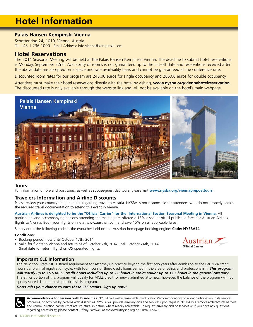# **Hotel Information**

#### **Palais Hansen Kempinski Vienna**

Schottenring 24, 1010, Vienna, Austria Tel +43 1 236 1000 Email Address: info.vienna@kempinski.com

#### **Hotel Reservations**

The 2014 Seasonal Meeting will be held at the Palais Hansen Kempinski Vienna. The deadline to submit hotel reservations is Monday, September 22nd. Availability of rooms is not guaranteed up to the cut-off date and reservations received after the above date are accepted on a space and rate availability basis and cannot be guaranteed at the conference rate.

Discounted room rates for our program are 245.00 euros for single occupancy and 265.00 euros for double occupancy.

Attendees must make their hotel reservations directly with the hotel by visiting, **www.nysba.org/viennahotelreservation.**  The discounted rate is only available through the website link and will not be available on the hotel's main webpage.



#### **Tours**

For information on pre and post tours, as well as spouse/guest day tours, please visit **www.nysba.org/viennapreposttours**.

#### **Travelers Information and Airline Discounts**

Please review your country's requirements regarding travel to Austria. NYSBA is not responsible for attendees who do not properly obtain the required travel documentation to attend this event in Vienna.

**Austrian Airlines is delighted to be the "Official Carrier" for the International Section Seasonal Meeting in Vienna.** All participants and accompanying persons attending the meeting are offered a 15% discount off all published fares for Austrian Airlines flights to Vienna. Book your flights online at www.austrian.com and save 15% on all applicable fares!

Simply enter the following code in the eVoucher field on the Austrian homepage booking engine: **Code: NYSBA14**

#### **Conditions:**

- Booking period: now until October 17th, 2014
- Valid for flights to Vienna and return as of October 7th, 2014 until October 24th, 2014 (final date for return flight) on OS operated flights.



#### **Important CLE Information**

The New York State MCLE Board requirement for Attorneys in practice beyond the first two years after admission to the Bar is 24 credit hours per biennial registration cycle, with four hours of these credit hours earned in the area of ethics and professionalism. *This program will satisfy up to 15.5 MCLE credit hours including up to 2.0 hours in ethics and/or up to 13.5 hours in the general category.* The ethics portion of this program will qualify for MCLE credit for newly admitted attorneys; however, the balance of the program will not qualify since it is not a basic practical skills program.

#### *Don't miss your chance to earn these CLE credits. Sign up now!*

**Accommodations for Persons with Disabilities:** NYSBA will make reasonable modifications/accommodations to allow participation in its services, programs, or activities by persons with disabilities. NYSBA will provide auxiliary aids and services upon request. NYSBA will remove architectural barriers and communication barriers that are structural in nature where readily achievable. To request auxiliary aids or services or if you have any questions regarding accessibility, please contact Tiffany Bardwell at [tbardwell@nysba.org](mailto:tbardwell%40nysba.org?subject=) or 518/487.5675.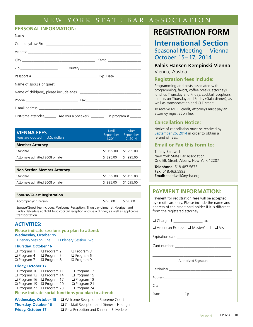## NEW YORK STATE BAR ASSOCIATION

#### **PERSONAL INFORMATION:**

| First-time attendee _________ Are you a Speaker? __________ On program # _______ |  |
|----------------------------------------------------------------------------------|--|

| <b>VIENNA FEES</b><br>Fees are quoted in U.S. dollars | Until<br>September<br>1.2014 | After<br>September<br>2,2014 |
|-------------------------------------------------------|------------------------------|------------------------------|
| <b>Member Attorney</b>                                |                              |                              |
| Standard                                              | \$1,195.00                   | \$1,295.00                   |
| Attorneys admitted 2008 or later                      | \$895.00                     | 995.00                       |

| <b>Non Section Member Attorney</b> |                       |  |
|------------------------------------|-----------------------|--|
| Standard                           | \$1,395.00 \$1,495.00 |  |
| Attorneys admitted 2008 or later   | \$995.00 \$1,095.00   |  |
|                                    |                       |  |

| <b>Spouse/Guest Registration</b> |          |          |
|----------------------------------|----------|----------|
| Accompanying Person              | \$795.00 | \$795.00 |

Spouse/Guest fee Includes: Welcome Reception, Thursday dinner at Heuriger and Friday Belvedere at Night tour, cocktail reception and Gala dinner; as well as applicable transportation.

#### **ACTIVITIES:**

| Please indicate sessions you plan to attend:<br><b>Wednesday, October 15</b> |                                     |                              |  |
|------------------------------------------------------------------------------|-------------------------------------|------------------------------|--|
| <b>Q</b> Plenary Session One                                                 |                                     | <b>Q</b> Plenary Session Two |  |
| <b>Thursday, October 16</b>                                                  |                                     |                              |  |
| $\Box$ Program 1                                                             | $\Box$ Program 2                    | $\Box$ Program 3             |  |
| $\Box$ Program 4                                                             | $\Box$ Program 5                    | $\Box$ Program 6             |  |
| $\Box$ Program 7                                                             | $\Box$ Program 8                    | $\Box$ Program 9             |  |
| <b>Friday, October 17</b>                                                    |                                     |                              |  |
| $\Box$ Program 10                                                            | $\Box$ Program 11                   | $\Box$ Program 12            |  |
|                                                                              | $\Box$ Program 13 $\Box$ Program 14 | Program 15                   |  |
|                                                                              | $\Box$ Program 16 $\Box$ Program 17 | $\Box$ Program 18            |  |
| $\Box$ Program 19                                                            | $\Box$ Program 20                   | $\Box$ Program 21            |  |
| $\Box$ Program 22                                                            | $\Box$ Program 23                   | $\Box$ Program 24            |  |
| Please indicate social functions you plan to attend:                         |                                     |                              |  |

#### **Wednesday, October 15** ❑ Welcome Reception - Supreme Court **Thursday, October 16** ❑ Cocktail Reception and Dinner – Heuriger **Friday, October 17** ❑ Gala Reception and Dinner – Belvedere

# **REGISTRATION FORM**

**International Section** Seasonal Meeting—Vienna October 15–17, 2014

#### **Palais Hansen Kempinski Vienna** Vienna, Austria

#### **Registration fees include:**

Programming and costs associated with programming, favors, coffee breaks, attorneys' lunches Thursday and Friday, cocktail receptions, dinners on Thursday and Friday (Gala dinner), as well as transportation and CLE credit.

To receive MCLE credit, attorneys must pay an attorney registration fee.

#### **Cancellation Notice:**

Notice of cancellation must be received by September 26, 2014 in order to obtain a refund of fees.

#### **Email or Fax this form to:**

Tiffany Bardwell New York State Bar Association One Elk Street, Albany, New York 12207

**Telephone:** 518.487.5675 **Fax:** 518.463.5993 **Email:** tbardwell@nysba.org

### **PAYMENT INFORMATION:**

Payment for registration fees will be accepted by credit card only. Please include the name and address of the credit card holder if it is different from the registered attorney.

| □ Charge \$ _________________ to:                     |  |  |  |  |
|-------------------------------------------------------|--|--|--|--|
| $\Box$ American Express $\Box$ MasterCard $\Box$ Visa |  |  |  |  |
|                                                       |  |  |  |  |
|                                                       |  |  |  |  |
|                                                       |  |  |  |  |
| Authorized Signature                                  |  |  |  |  |
|                                                       |  |  |  |  |
|                                                       |  |  |  |  |
|                                                       |  |  |  |  |
|                                                       |  |  |  |  |
|                                                       |  |  |  |  |